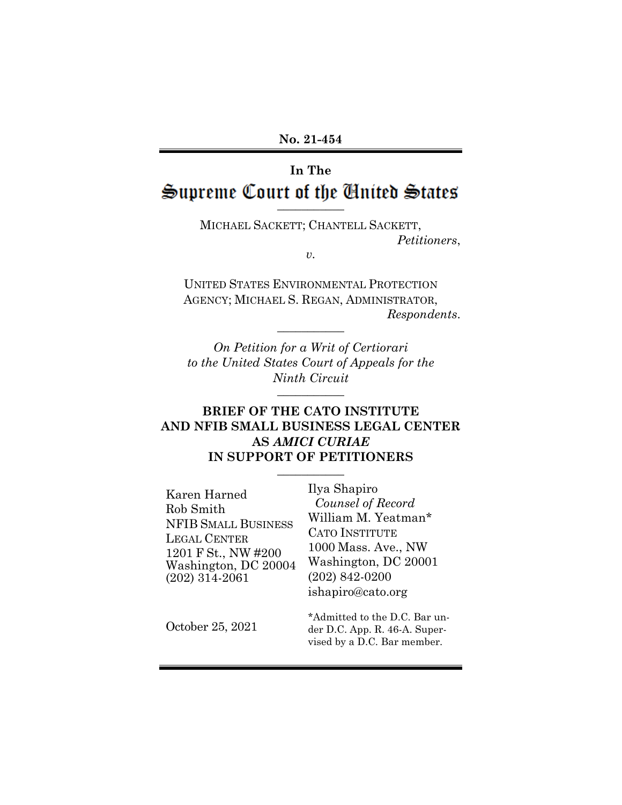# **In The** Supreme Court of the **Chited** States

MICHAEL SACKETT; CHANTELL SACKETT, *Petitioners*,

*v.*

UNITED STATES ENVIRONMENTAL PROTECTION AGENCY; MICHAEL S. REGAN, ADMINISTRATOR, *Respondents*.

*On Petition for a Writ of Certiorari to the United States Court of Appeals for the Ninth Circuit*

**\_\_\_\_\_\_\_\_\_\_\_**

**\_\_\_\_\_\_\_\_\_\_\_**

#### **BRIEF OF THE CATO INSTITUTE AND NFIB SMALL BUSINESS LEGAL CENTER AS** *AMICI CURIAE* **IN SUPPORT OF PETITIONERS**

**\_\_\_\_\_\_\_\_\_\_\_**

| Karen Harned<br>Rob Smith<br><b>NFIB SMALL BUSINESS</b><br><b>LEGAL CENTER</b><br>1201 F St., NW #200<br>Washington, DC 20004<br>$(202)$ 314-2061 | Ilya Shapiro<br>Counsel of Record<br>William M. Yeatman*<br><b>CATO INSTITUTE</b><br>1000 Mass. Ave., NW<br>Washington, DC 20001<br>$(202)$ 842-0200<br>ishapiro@cato.org |
|---------------------------------------------------------------------------------------------------------------------------------------------------|---------------------------------------------------------------------------------------------------------------------------------------------------------------------------|
| October 25, 2021                                                                                                                                  | *Admitted to the D.C. Bar un-<br>der D.C. App. R. $46-A$ . Super-<br>vised by a D.C. Bar member.                                                                          |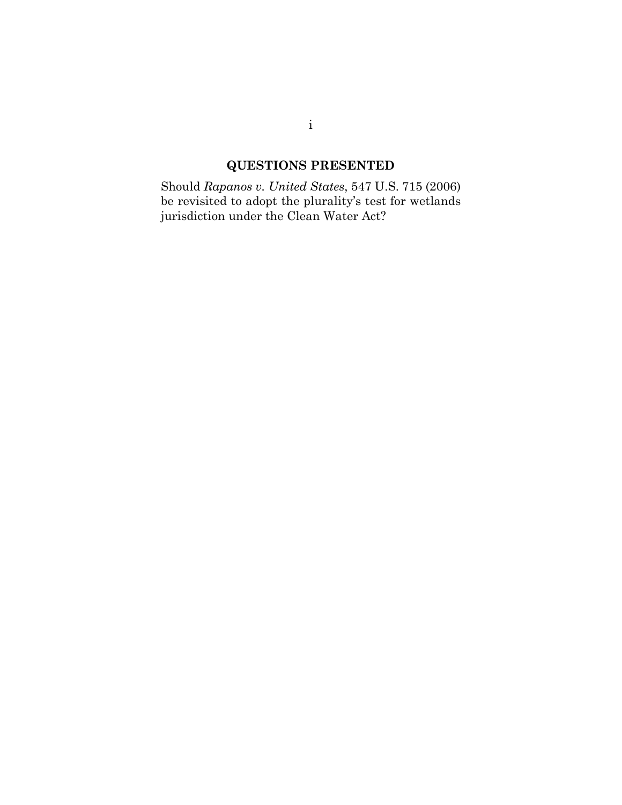## **QUESTIONS PRESENTED**

<span id="page-1-0"></span>Should *Rapanos v. United States*, 547 U.S. 715 (2006) be revisited to adopt the plurality's test for wetlands jurisdiction under the Clean Water Act?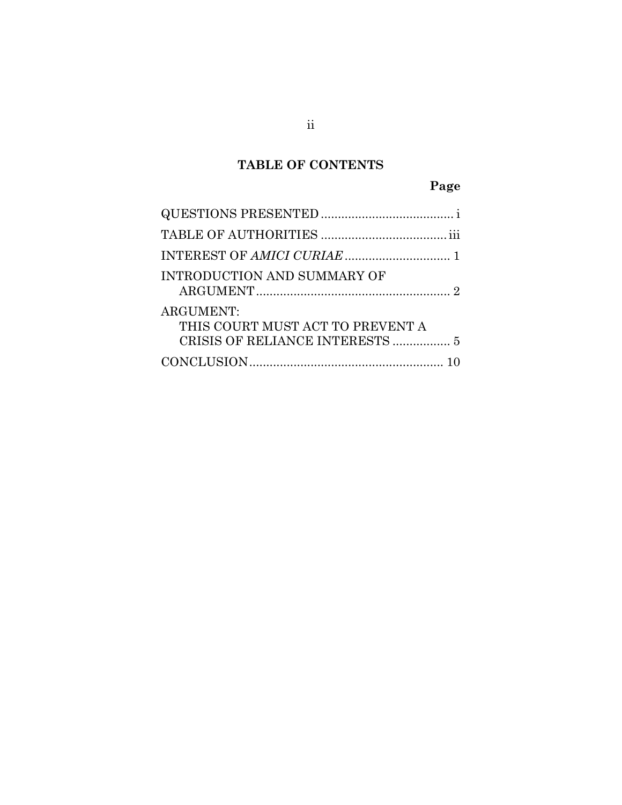### **TABLE OF CONTENTS**

## **Page**

| <b>INTRODUCTION AND SUMMARY OF</b>                   |
|------------------------------------------------------|
| <b>ARGUMENT:</b><br>THIS COURT MUST ACT TO PREVENT A |
|                                                      |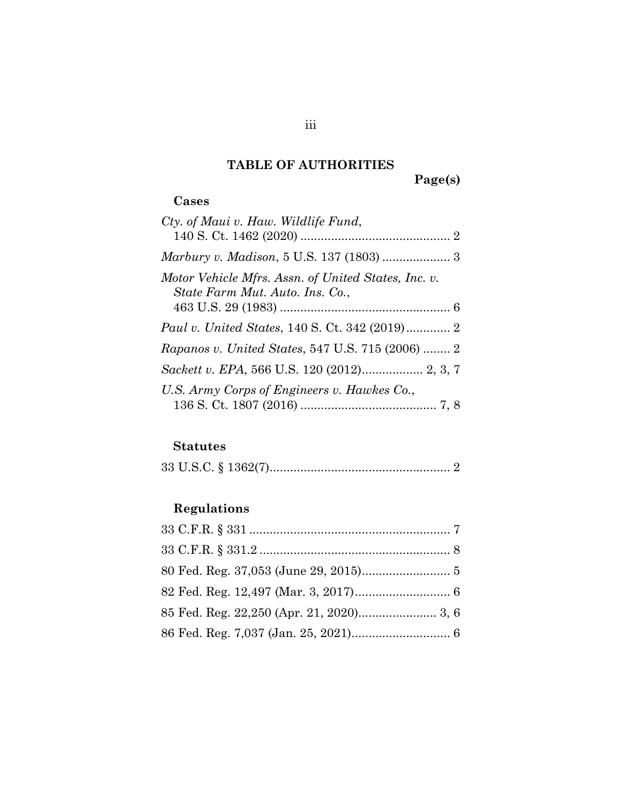## **TABLE OF AUTHORITIES**

**Page(s)**

### <span id="page-3-0"></span>**Cases**

| Cty. of Maui v. Haw. Wildlife Fund,                     |
|---------------------------------------------------------|
|                                                         |
| Motor Vehicle Mfrs. Assn. of United States, Inc. v.     |
| State Farm Mut. Auto. Ins. Co.,                         |
|                                                         |
| <i>Paul v. United States, 140 S. Ct. 342 (2019)</i> 2   |
| <i>Rapanos v. United States, 547 U.S. 715 (2006)  2</i> |
|                                                         |
| U.S. Army Corps of Engineers v. Hawkes Co.,             |
|                                                         |

### **Statutes**

|--|--|--|

## **Regulations**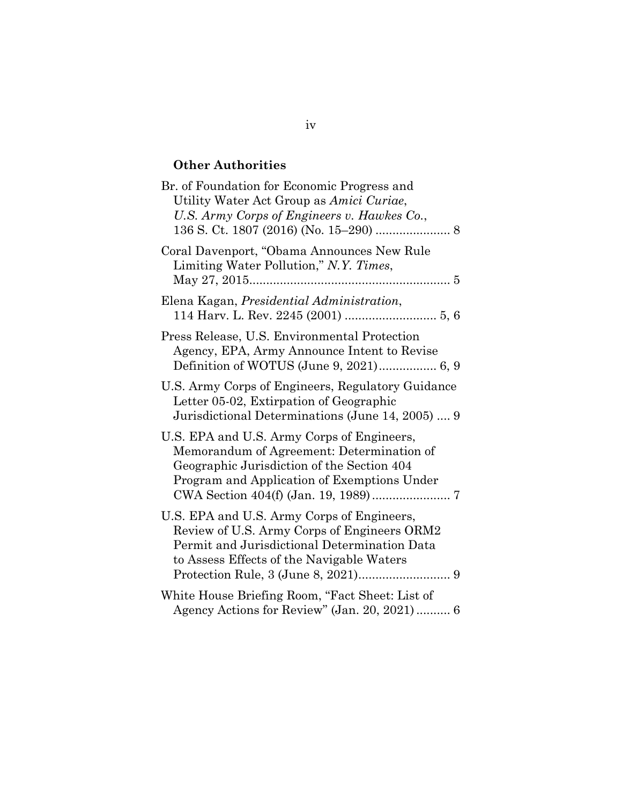### **Other Authorities**

| Br. of Foundation for Economic Progress and<br>Utility Water Act Group as Amici Curiae,<br>U.S. Army Corps of Engineers v. Hawkes Co.,                                                 |
|----------------------------------------------------------------------------------------------------------------------------------------------------------------------------------------|
| Coral Davenport, "Obama Announces New Rule<br>Limiting Water Pollution," N.Y. Times,                                                                                                   |
| Elena Kagan, Presidential Administration,                                                                                                                                              |
| Press Release, U.S. Environmental Protection<br>Agency, EPA, Army Announce Intent to Revise<br>Definition of WOTUS (June 9, 2021) 6, 9                                                 |
| U.S. Army Corps of Engineers, Regulatory Guidance<br>Letter 05-02, Extirpation of Geographic<br>Jurisdictional Determinations (June 14, 2005)  9                                       |
| U.S. EPA and U.S. Army Corps of Engineers,<br>Memorandum of Agreement: Determination of<br>Geographic Jurisdiction of the Section 404<br>Program and Application of Exemptions Under   |
| U.S. EPA and U.S. Army Corps of Engineers,<br>Review of U.S. Army Corps of Engineers ORM2<br>Permit and Jurisdictional Determination Data<br>to Assess Effects of the Navigable Waters |
| White House Briefing Room, "Fact Sheet: List of<br>Agency Actions for Review" (Jan. 20, 2021)  6                                                                                       |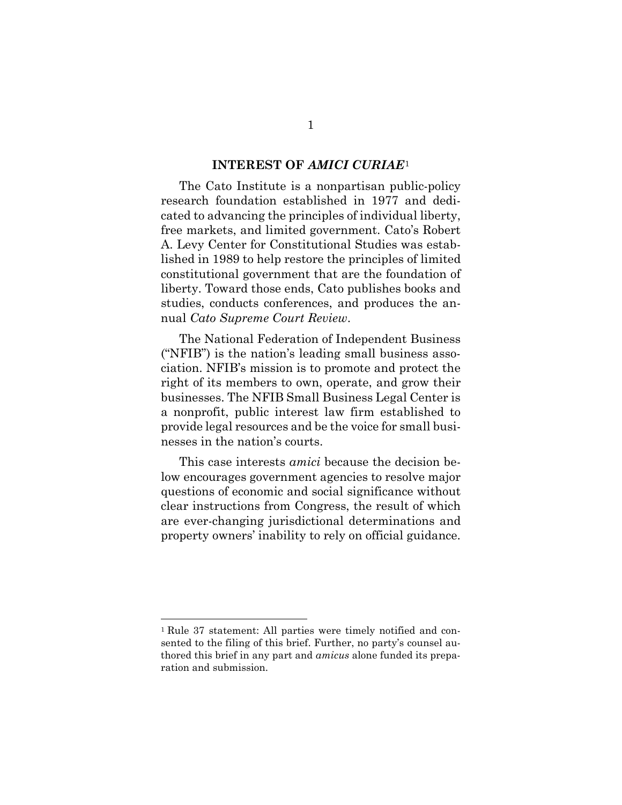#### **INTEREST OF** *AMICI CURIAE*[1](#page-5-1)

<span id="page-5-0"></span>The Cato Institute is a nonpartisan public-policy research foundation established in 1977 and dedicated to advancing the principles of individual liberty, free markets, and limited government. Cato's Robert A. Levy Center for Constitutional Studies was established in 1989 to help restore the principles of limited constitutional government that are the foundation of liberty. Toward those ends, Cato publishes books and studies, conducts conferences, and produces the annual *Cato Supreme Court Review*.

The National Federation of Independent Business ("NFIB") is the nation's leading small business association. NFIB's mission is to promote and protect the right of its members to own, operate, and grow their businesses. The NFIB Small Business Legal Center is a nonprofit, public interest law firm established to provide legal resources and be the voice for small businesses in the nation's courts.

This case interests *amici* because the decision below encourages government agencies to resolve major questions of economic and social significance without clear instructions from Congress, the result of which are ever-changing jurisdictional determinations and property owners' inability to rely on official guidance.

<span id="page-5-1"></span><sup>1</sup> Rule 37 statement: All parties were timely notified and consented to the filing of this brief. Further, no party's counsel authored this brief in any part and *amicus* alone funded its preparation and submission.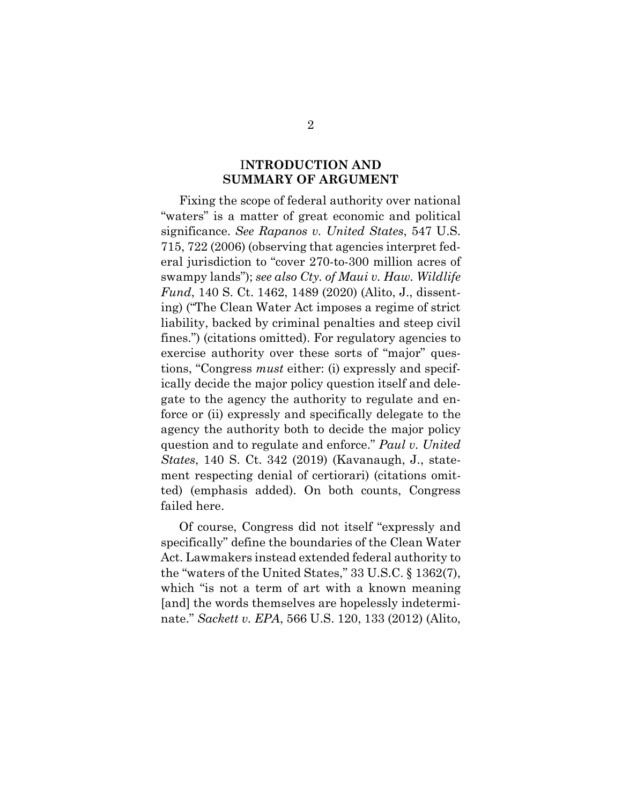#### I**NTRODUCTION AND SUMMARY OF ARGUMENT**

<span id="page-6-0"></span>Fixing the scope of federal authority over national "waters" is a matter of great economic and political significance. *See Rapanos v. United States*, 547 U.S. 715, 722 (2006) (observing that agencies interpret federal jurisdiction to "cover 270-to-300 million acres of swampy lands"); *see also Cty. of Maui v. Haw. Wildlife Fund*, 140 S. Ct. 1462, 1489 (2020) (Alito, J., dissenting) ("The Clean Water Act imposes a regime of strict liability, backed by criminal penalties and steep civil fines.") (citations omitted). For regulatory agencies to exercise authority over these sorts of "major" questions, "Congress *must* either: (i) expressly and specifically decide the major policy question itself and delegate to the agency the authority to regulate and enforce or (ii) expressly and specifically delegate to the agency the authority both to decide the major policy question and to regulate and enforce." *Paul v. United States*, 140 S. Ct. 342 (2019) (Kavanaugh, J., statement respecting denial of certiorari) (citations omitted) (emphasis added). On both counts, Congress failed here.

Of course, Congress did not itself "expressly and specifically" define the boundaries of the Clean Water Act. Lawmakers instead extended federal authority to the "waters of the United States," 33 U.S.C. § 1362(7), which "is not a term of art with a known meaning [and] the words themselves are hopelessly indeterminate." *Sackett v. EPA*, 566 U.S. 120, 133 (2012) (Alito,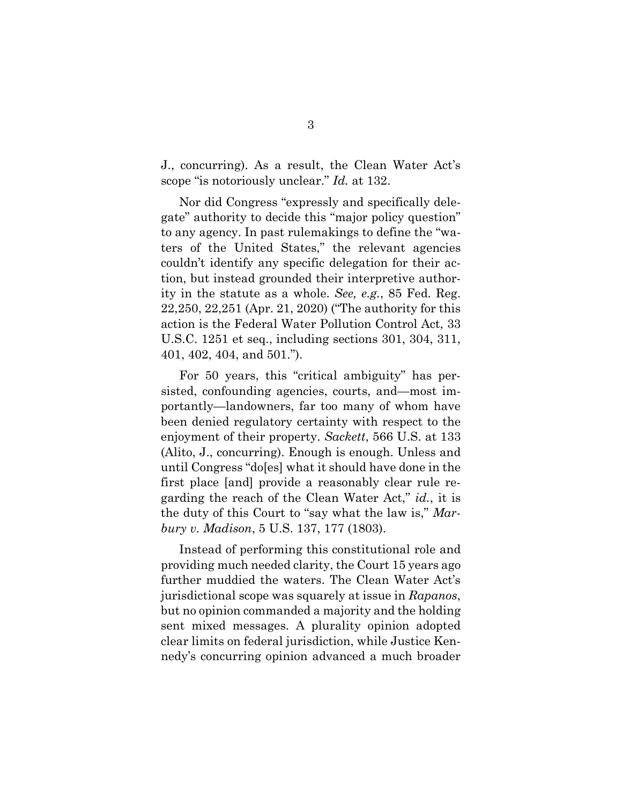J., concurring). As a result, the Clean Water Act's scope "is notoriously unclear." *Id.* at 132.

Nor did Congress "expressly and specifically delegate" authority to decide this "major policy question" to any agency. In past rulemakings to define the "waters of the United States," the relevant agencies couldn't identify any specific delegation for their action, but instead grounded their interpretive authority in the statute as a whole. *See, e.g.*, 85 Fed. Reg. 22,250, 22,251 (Apr. 21, 2020) ("The authority for this action is the Federal Water Pollution Control Act, 33 U.S.C. 1251 et seq., including sections 301, 304, 311, 401, 402, 404, and 501.").

For 50 years, this "critical ambiguity" has persisted, confounding agencies, courts, and—most importantly—landowners, far too many of whom have been denied regulatory certainty with respect to the enjoyment of their property. *Sackett*, 566 U.S. at 133 (Alito, J., concurring). Enough is enough. Unless and until Congress "do[es] what it should have done in the first place [and] provide a reasonably clear rule regarding the reach of the Clean Water Act," *id.*, it is the duty of this Court to "say what the law is," *Marbury v. Madison*, 5 U.S. 137, 177 (1803).

Instead of performing this constitutional role and providing much needed clarity, the Court 15 years ago further muddied the waters. The Clean Water Act's jurisdictional scope was squarely at issue in *Rapanos*, but no opinion commanded a majority and the holding sent mixed messages. A plurality opinion adopted clear limits on federal jurisdiction, while Justice Kennedy's concurring opinion advanced a much broader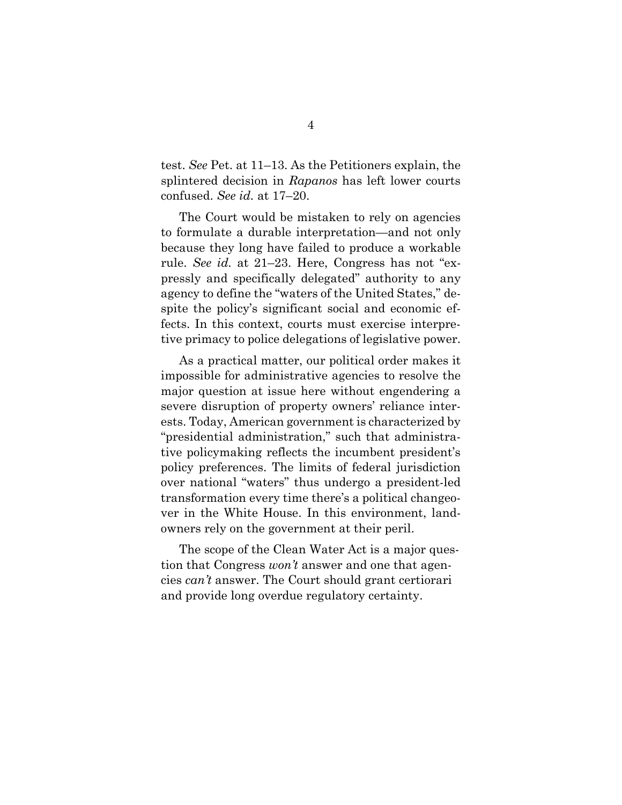test. *See* Pet. at 11–13. As the Petitioners explain, the splintered decision in *Rapanos* has left lower courts confused. *See id.* at 17–20.

The Court would be mistaken to rely on agencies to formulate a durable interpretation—and not only because they long have failed to produce a workable rule. *See id.* at 21–23. Here, Congress has not "expressly and specifically delegated" authority to any agency to define the "waters of the United States," despite the policy's significant social and economic effects. In this context, courts must exercise interpretive primacy to police delegations of legislative power.

As a practical matter, our political order makes it impossible for administrative agencies to resolve the major question at issue here without engendering a severe disruption of property owners' reliance interests. Today, American government is characterized by "presidential administration," such that administrative policymaking reflects the incumbent president's policy preferences. The limits of federal jurisdiction over national "waters" thus undergo a president-led transformation every time there's a political changeover in the White House. In this environment, landowners rely on the government at their peril.

The scope of the Clean Water Act is a major question that Congress *won't* answer and one that agencies *can't* answer. The Court should grant certiorari and provide long overdue regulatory certainty.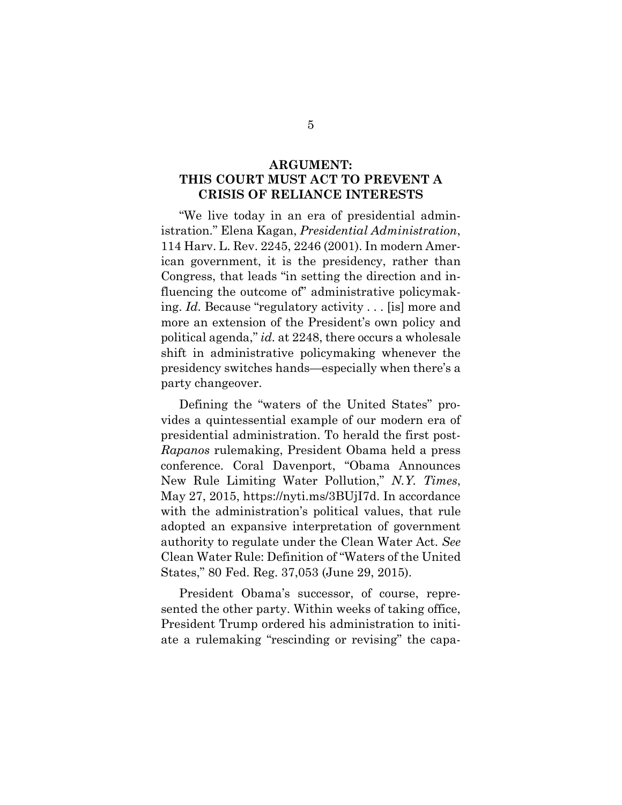#### <span id="page-9-0"></span>**ARGUMENT: THIS COURT MUST ACT TO PREVENT A CRISIS OF RELIANCE INTERESTS**

"We live today in an era of presidential administration." Elena Kagan, *Presidential Administration*, 114 Harv. L. Rev. 2245, 2246 (2001). In modern American government, it is the presidency, rather than Congress, that leads "in setting the direction and influencing the outcome of" administrative policymaking. *Id.* Because "regulatory activity . . . [is] more and more an extension of the President's own policy and political agenda," *id.* at 2248, there occurs a wholesale shift in administrative policymaking whenever the presidency switches hands—especially when there's a party changeover.

Defining the "waters of the United States" provides a quintessential example of our modern era of presidential administration. To herald the first post-*Rapanos* rulemaking, President Obama held a press conference. Coral Davenport, "Obama Announces New Rule Limiting Water Pollution," *N.Y. Times*, May 27, 2015, https://nyti.ms/3BUjI7d. In accordance with the administration's political values, that rule adopted an expansive interpretation of government authority to regulate under the Clean Water Act. *See* Clean Water Rule: Definition of "Waters of the United States," 80 Fed. Reg. 37,053 (June 29, 2015).

President Obama's successor, of course, represented the other party. Within weeks of taking office, President Trump ordered his administration to initiate a rulemaking "rescinding or revising" the capa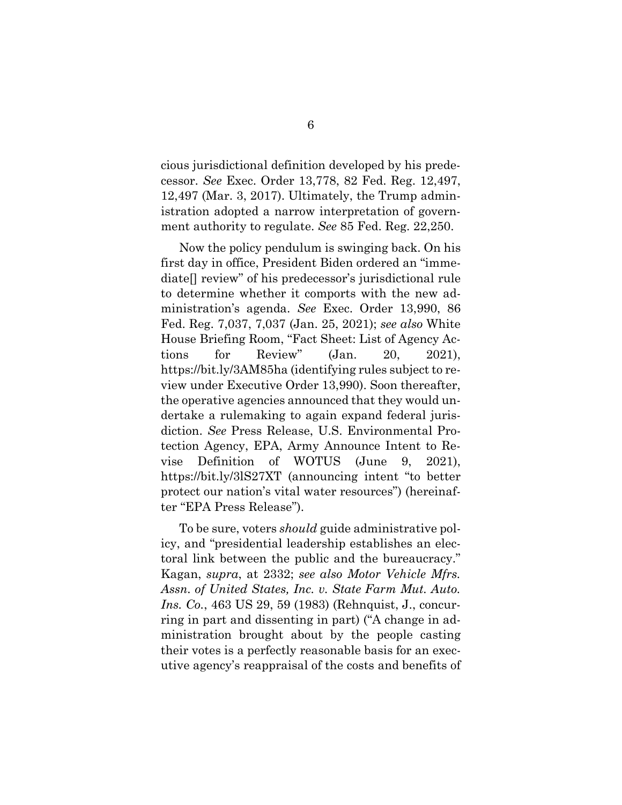cious jurisdictional definition developed by his predecessor. *See* Exec. Order 13,778, 82 Fed. Reg. 12,497, 12,497 (Mar. 3, 2017). Ultimately, the Trump administration adopted a narrow interpretation of government authority to regulate. *See* 85 Fed. Reg. 22,250.

Now the policy pendulum is swinging back. On his first day in office, President Biden ordered an "immediate[] review" of his predecessor's jurisdictional rule to determine whether it comports with the new administration's agenda. *See* Exec. Order 13,990, 86 Fed. Reg. 7,037, 7,037 (Jan. 25, 2021); *see also* White House Briefing Room, "Fact Sheet: List of Agency Actions for Review" (Jan. 20, 2021), https://bit.ly/3AM85ha (identifying rules subject to review under Executive Order 13,990). Soon thereafter, the operative agencies announced that they would undertake a rulemaking to again expand federal jurisdiction. *See* Press Release, U.S. Environmental Protection Agency, EPA, Army Announce Intent to Revise Definition of WOTUS (June 9, 2021), https://bit.ly/3lS27XT (announcing intent "to better protect our nation's vital water resources") (hereinafter "EPA Press Release").

To be sure, voters *should* guide administrative policy, and "presidential leadership establishes an electoral link between the public and the bureaucracy." Kagan, *supra*, at 2332; *see also Motor Vehicle Mfrs. Assn. of United States, Inc. v. State Farm Mut. Auto. Ins. Co.*, 463 US 29, 59 (1983) (Rehnquist, J., concurring in part and dissenting in part) ("A change in administration brought about by the people casting their votes is a perfectly reasonable basis for an executive agency's reappraisal of the costs and benefits of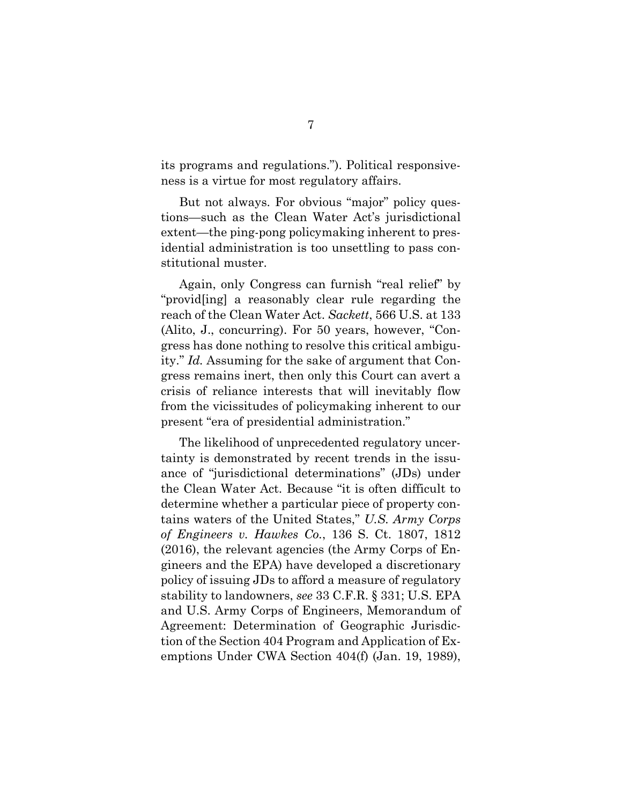its programs and regulations."). Political responsiveness is a virtue for most regulatory affairs.

But not always. For obvious "major" policy questions—such as the Clean Water Act's jurisdictional extent—the ping-pong policymaking inherent to presidential administration is too unsettling to pass constitutional muster.

Again, only Congress can furnish "real relief" by "provid[ing] a reasonably clear rule regarding the reach of the Clean Water Act. *Sackett*, 566 U.S. at 133 (Alito, J., concurring). For 50 years, however, "Congress has done nothing to resolve this critical ambiguity." *Id.* Assuming for the sake of argument that Congress remains inert, then only this Court can avert a crisis of reliance interests that will inevitably flow from the vicissitudes of policymaking inherent to our present "era of presidential administration."

The likelihood of unprecedented regulatory uncertainty is demonstrated by recent trends in the issuance of "jurisdictional determinations" (JDs) under the Clean Water Act. Because "it is often difficult to determine whether a particular piece of property contains waters of the United States," *U.S. Army Corps of Engineers v. Hawkes Co.*, 136 S. Ct. 1807, 1812 (2016), the relevant agencies (the Army Corps of Engineers and the EPA) have developed a discretionary policy of issuing JDs to afford a measure of regulatory stability to landowners, *see* 33 C.F.R. § 331; U.S. EPA and U.S. Army Corps of Engineers, Memorandum of Agreement: Determination of Geographic Jurisdiction of the Section 404 Program and Application of Exemptions Under CWA Section 404(f) (Jan. 19, 1989),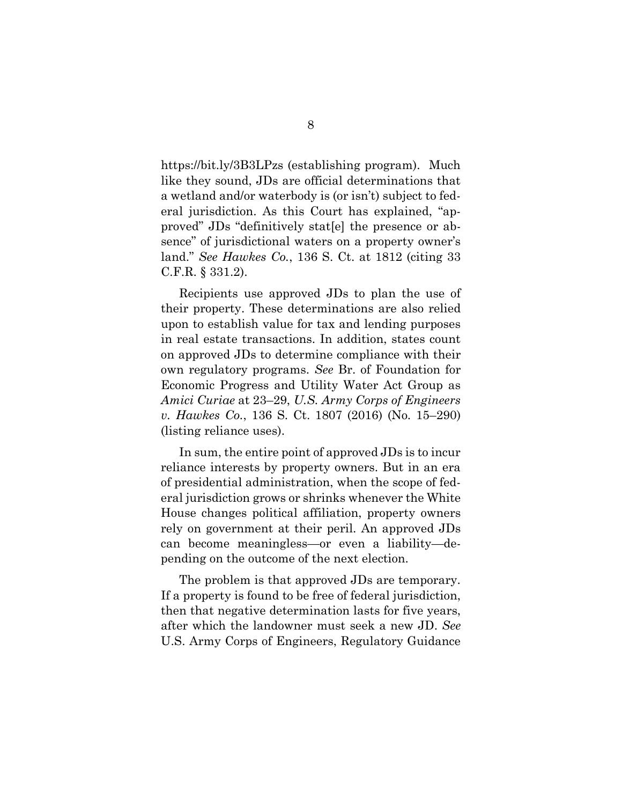https://bit.ly/3B3LPzs (establishing program). Much like they sound, JDs are official determinations that a wetland and/or waterbody is (or isn't) subject to federal jurisdiction. As this Court has explained, "approved" JDs "definitively stat[e] the presence or absence" of jurisdictional waters on a property owner's land." *See Hawkes Co.*, 136 S. Ct. at 1812 (citing 33 C.F.R. § 331.2).

Recipients use approved JDs to plan the use of their property. These determinations are also relied upon to establish value for tax and lending purposes in real estate transactions. In addition, states count on approved JDs to determine compliance with their own regulatory programs. *See* Br. of Foundation for Economic Progress and Utility Water Act Group as *Amici Curiae* at 23–29, *U.S. Army Corps of Engineers v. Hawkes Co.*, 136 S. Ct. 1807 (2016) (No. 15–290) (listing reliance uses).

In sum, the entire point of approved JDs is to incur reliance interests by property owners. But in an era of presidential administration, when the scope of federal jurisdiction grows or shrinks whenever the White House changes political affiliation, property owners rely on government at their peril. An approved JDs can become meaningless—or even a liability—depending on the outcome of the next election.

The problem is that approved JDs are temporary. If a property is found to be free of federal jurisdiction, then that negative determination lasts for five years, after which the landowner must seek a new JD. *See* U.S. Army Corps of Engineers, Regulatory Guidance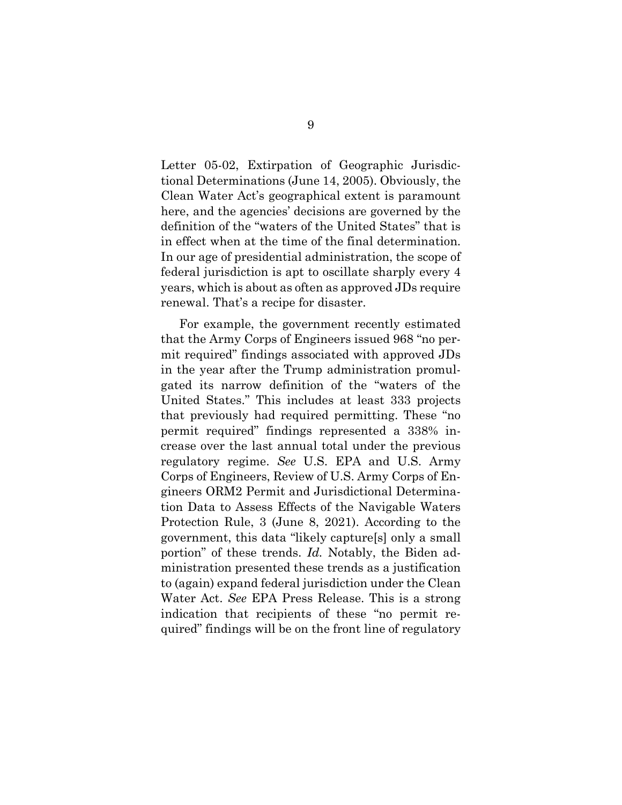Letter 05-02, Extirpation of Geographic Jurisdictional Determinations (June 14, 2005). Obviously, the Clean Water Act's geographical extent is paramount here, and the agencies' decisions are governed by the definition of the "waters of the United States" that is in effect when at the time of the final determination. In our age of presidential administration, the scope of federal jurisdiction is apt to oscillate sharply every 4 years, which is about as often as approved JDs require renewal. That's a recipe for disaster.

For example, the government recently estimated that the Army Corps of Engineers issued 968 "no permit required" findings associated with approved JDs in the year after the Trump administration promulgated its narrow definition of the "waters of the United States." This includes at least 333 projects that previously had required permitting. These "no permit required" findings represented a 338% increase over the last annual total under the previous regulatory regime. *See* U.S. EPA and U.S. Army Corps of Engineers, Review of U.S. Army Corps of Engineers ORM2 Permit and Jurisdictional Determination Data to Assess Effects of the Navigable Waters Protection Rule, 3 (June 8, 2021). According to the government, this data "likely capture[s] only a small portion" of these trends. *Id.* Notably, the Biden administration presented these trends as a justification to (again) expand federal jurisdiction under the Clean Water Act. *See* EPA Press Release. This is a strong indication that recipients of these "no permit required" findings will be on the front line of regulatory